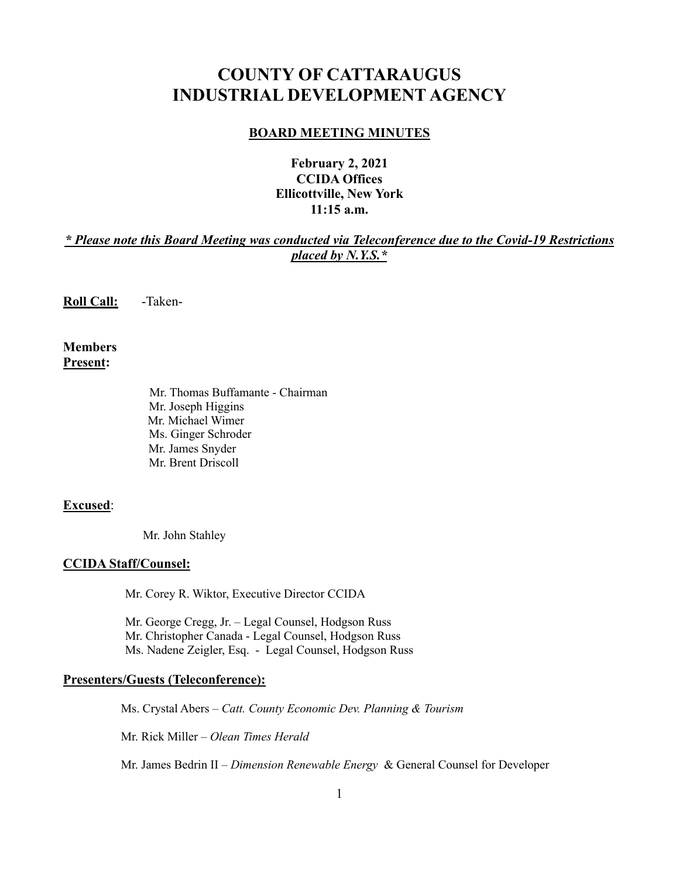# **COUNTY OF CATTARAUGUS INDUSTRIAL DEVELOPMENT AGENCY**

#### **BOARD MEETING MINUTES**

## **February 2, 2021 CCIDA Offices Ellicottville, New York 11:15 a.m.**

## *\* Please note this Board Meeting was conducted via Teleconference due to the Covid-19 Restrictions placed by N.Y.S.\**

**Roll Call:** -Taken-

**Members Present:**

> Mr. Thomas Buffamante - Chairman Mr. Joseph Higgins Mr. Michael Wimer Ms. Ginger Schroder Mr. James Snyder Mr. Brent Driscoll

#### **Excused**:

Mr. John Stahley

#### **CCIDA Staff/Counsel:**

Mr. Corey R. Wiktor, Executive Director CCIDA

Mr. George Cregg, Jr. – Legal Counsel, Hodgson Russ Mr. Christopher Canada - Legal Counsel, Hodgson Russ Ms. Nadene Zeigler, Esq. - Legal Counsel, Hodgson Russ

#### **Presenters/Guests (Teleconference):**

Ms. Crystal Abers – *Catt. County Economic Dev. Planning & Tourism*

Mr. Rick Miller – *Olean Times Herald*

Mr. James Bedrin II – *Dimension Renewable Energy* & General Counsel for Developer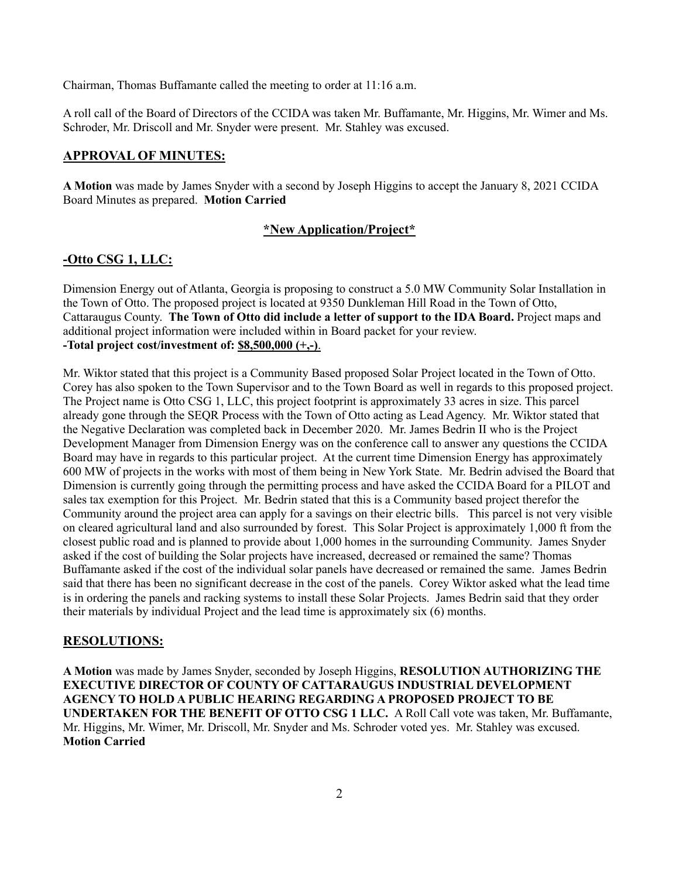Chairman, Thomas Buffamante called the meeting to order at 11:16 a.m.

A roll call of the Board of Directors of the CCIDA was taken Mr. Buffamante, Mr. Higgins, Mr. Wimer and Ms. Schroder, Mr. Driscoll and Mr. Snyder were present. Mr. Stahley was excused.

#### **APPROVAL OF MINUTES:**

**A Motion** was made by James Snyder with a second by Joseph Higgins to accept the January 8, 2021 CCIDA Board Minutes as prepared. **Motion Carried**

#### **\*New Application/Project\***

#### **-Otto CSG 1, LLC:**

Dimension Energy out of Atlanta, Georgia is proposing to construct a 5.0 MW Community Solar Installation in the Town of Otto. The proposed project is located at 9350 Dunkleman Hill Road in the Town of Otto, Cattaraugus County. **The Town of Otto did include a letter of support to the IDA Board.** Project maps and additional project information were included within in Board packet for your review. **-Total project cost/investment of: \$8,500,000 (+,-)**.

Mr. Wiktor stated that this project is a Community Based proposed Solar Project located in the Town of Otto. Corey has also spoken to the Town Supervisor and to the Town Board as well in regards to this proposed project. The Project name is Otto CSG 1, LLC, this project footprint is approximately 33 acres in size. This parcel already gone through the SEQR Process with the Town of Otto acting as Lead Agency. Mr. Wiktor stated that the Negative Declaration was completed back in December 2020. Mr. James Bedrin II who is the Project Development Manager from Dimension Energy was on the conference call to answer any questions the CCIDA Board may have in regards to this particular project. At the current time Dimension Energy has approximately 600 MW of projects in the works with most of them being in New York State. Mr. Bedrin advised the Board that Dimension is currently going through the permitting process and have asked the CCIDA Board for a PILOT and sales tax exemption for this Project. Mr. Bedrin stated that this is a Community based project therefor the Community around the project area can apply for a savings on their electric bills. This parcel is not very visible on cleared agricultural land and also surrounded by forest. This Solar Project is approximately 1,000 ft from the closest public road and is planned to provide about 1,000 homes in the surrounding Community. James Snyder asked if the cost of building the Solar projects have increased, decreased or remained the same? Thomas Buffamante asked if the cost of the individual solar panels have decreased or remained the same. James Bedrin said that there has been no significant decrease in the cost of the panels. Corey Wiktor asked what the lead time is in ordering the panels and racking systems to install these Solar Projects. James Bedrin said that they order their materials by individual Project and the lead time is approximately six (6) months.

#### **RESOLUTIONS:**

**A Motion** was made by James Snyder, seconded by Joseph Higgins, **RESOLUTION AUTHORIZING THE EXECUTIVE DIRECTOR OF COUNTY OF CATTARAUGUS INDUSTRIAL DEVELOPMENT AGENCY TO HOLD A PUBLIC HEARING REGARDING A PROPOSED PROJECT TO BE UNDERTAKEN FOR THE BENEFIT OF OTTO CSG 1 LLC.** A Roll Call vote was taken, Mr. Buffamante, Mr. Higgins, Mr. Wimer, Mr. Driscoll, Mr. Snyder and Ms. Schroder voted yes. Mr. Stahley was excused. **Motion Carried**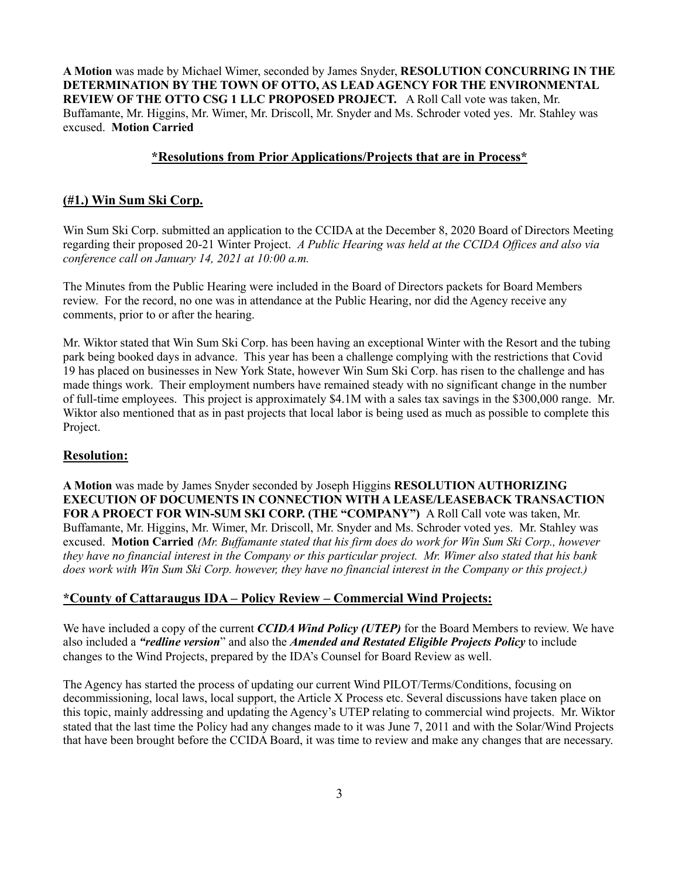**A Motion** was made by Michael Wimer, seconded by James Snyder, **RESOLUTION CONCURRING IN THE DETERMINATION BY THE TOWN OF OTTO, AS LEAD AGENCY FOR THE ENVIRONMENTAL REVIEW OF THE OTTO CSG 1 LLC PROPOSED PROJECT.** A Roll Call vote was taken, Mr. Buffamante, Mr. Higgins, Mr. Wimer, Mr. Driscoll, Mr. Snyder and Ms. Schroder voted yes. Mr. Stahley was excused. **Motion Carried**

#### **\*Resolutions from Prior Applications/Projects that are in Process\***

#### **(#1.) Win Sum Ski Corp.**

Win Sum Ski Corp. submitted an application to the CCIDA at the December 8, 2020 Board of Directors Meeting regarding their proposed 20-21 Winter Project. *A Public Hearing was held at the CCIDA Offices and also via conference call on January 14, 2021 at 10:00 a.m.*

The Minutes from the Public Hearing were included in the Board of Directors packets for Board Members review. For the record, no one was in attendance at the Public Hearing, nor did the Agency receive any comments, prior to or after the hearing.

Mr. Wiktor stated that Win Sum Ski Corp. has been having an exceptional Winter with the Resort and the tubing park being booked days in advance. This year has been a challenge complying with the restrictions that Covid 19 has placed on businesses in New York State, however Win Sum Ski Corp. has risen to the challenge and has made things work. Their employment numbers have remained steady with no significant change in the number of full-time employees. This project is approximately \$4.1M with a sales tax savings in the \$300,000 range. Mr. Wiktor also mentioned that as in past projects that local labor is being used as much as possible to complete this Project.

#### **Resolution:**

**A Motion** was made by James Snyder seconded by Joseph Higgins **RESOLUTION AUTHORIZING EXECUTION OF DOCUMENTS IN CONNECTION WITH A LEASE/LEASEBACK TRANSACTION FOR A PROECT FOR WIN-SUM SKI CORP. (THE "COMPANY")** A Roll Call vote was taken, Mr. Buffamante, Mr. Higgins, Mr. Wimer, Mr. Driscoll, Mr. Snyder and Ms. Schroder voted yes. Mr. Stahley was excused. **Motion Carried** *(Mr. Buffamante stated that his firm does do work for Win Sum Ski Corp., however they have no financial interest in the Company or this particular project. Mr. Wimer also stated that his bank does work with Win Sum Ski Corp. however, they have no financial interest in the Company or this project.)*

#### **\*County of Cattaraugus IDA – Policy Review – Commercial Wind Projects:**

We have included a copy of the current *CCIDA Wind Policy (UTEP)* for the Board Members to review. We have also included a *"redline version*" and also the *Amended and Restated Eligible Projects Policy* to include changes to the Wind Projects, prepared by the IDA's Counsel for Board Review as well.

The Agency has started the process of updating our current Wind PILOT/Terms/Conditions, focusing on decommissioning, local laws, local support, the Article X Process etc. Several discussions have taken place on this topic, mainly addressing and updating the Agency's UTEP relating to commercial wind projects. Mr. Wiktor stated that the last time the Policy had any changes made to it was June 7, 2011 and with the Solar/Wind Projects that have been brought before the CCIDA Board, it was time to review and make any changes that are necessary.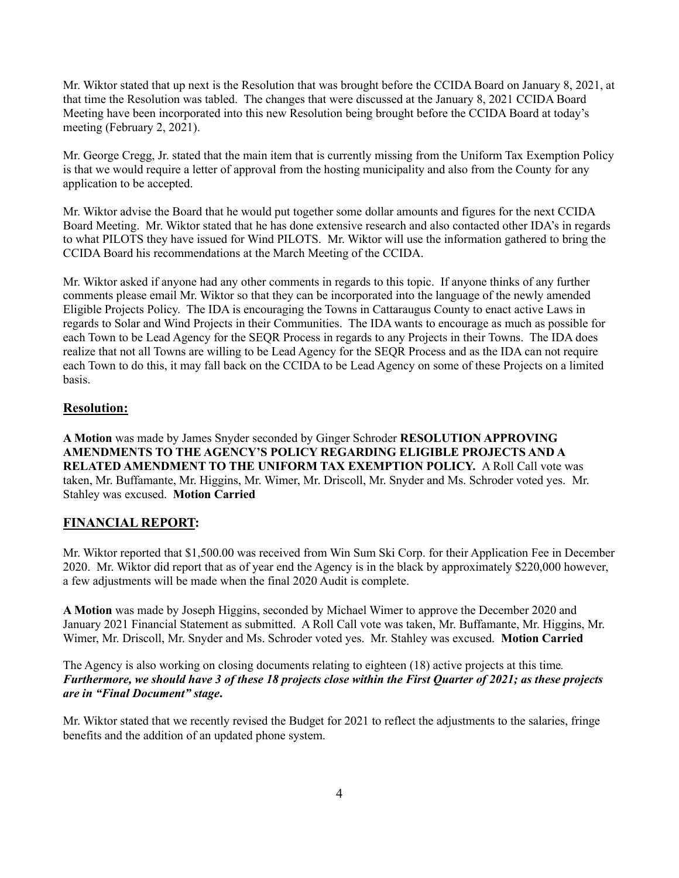Mr. Wiktor stated that up next is the Resolution that was brought before the CCIDA Board on January 8, 2021, at that time the Resolution was tabled. The changes that were discussed at the January 8, 2021 CCIDA Board Meeting have been incorporated into this new Resolution being brought before the CCIDA Board at today's meeting (February 2, 2021).

Mr. George Cregg, Jr. stated that the main item that is currently missing from the Uniform Tax Exemption Policy is that we would require a letter of approval from the hosting municipality and also from the County for any application to be accepted.

Mr. Wiktor advise the Board that he would put together some dollar amounts and figures for the next CCIDA Board Meeting. Mr. Wiktor stated that he has done extensive research and also contacted other IDA's in regards to what PILOTS they have issued for Wind PILOTS. Mr. Wiktor will use the information gathered to bring the CCIDA Board his recommendations at the March Meeting of the CCIDA.

Mr. Wiktor asked if anyone had any other comments in regards to this topic. If anyone thinks of any further comments please email Mr. Wiktor so that they can be incorporated into the language of the newly amended Eligible Projects Policy. The IDA is encouraging the Towns in Cattaraugus County to enact active Laws in regards to Solar and Wind Projects in their Communities. The IDA wants to encourage as much as possible for each Town to be Lead Agency for the SEQR Process in regards to any Projects in their Towns. The IDA does realize that not all Towns are willing to be Lead Agency for the SEQR Process and as the IDA can not require each Town to do this, it may fall back on the CCIDA to be Lead Agency on some of these Projects on a limited basis.

## **Resolution:**

**A Motion** was made by James Snyder seconded by Ginger Schroder **RESOLUTION APPROVING AMENDMENTS TO THE AGENCY'S POLICY REGARDING ELIGIBLE PROJECTS AND A RELATED AMENDMENT TO THE UNIFORM TAX EXEMPTION POLICY.** A Roll Call vote was taken, Mr. Buffamante, Mr. Higgins, Mr. Wimer, Mr. Driscoll, Mr. Snyder and Ms. Schroder voted yes. Mr. Stahley was excused. **Motion Carried**

## **FINANCIAL REPORT:**

Mr. Wiktor reported that \$1,500.00 was received from Win Sum Ski Corp. for their Application Fee in December 2020. Mr. Wiktor did report that as of year end the Agency is in the black by approximately \$220,000 however, a few adjustments will be made when the final 2020 Audit is complete.

**A Motion** was made by Joseph Higgins, seconded by Michael Wimer to approve the December 2020 and January 2021 Financial Statement as submitted. A Roll Call vote was taken, Mr. Buffamante, Mr. Higgins, Mr. Wimer, Mr. Driscoll, Mr. Snyder and Ms. Schroder voted yes. Mr. Stahley was excused. **Motion Carried**

The Agency is also working on closing documents relating to eighteen (18) active projects at this time*. Furthermore, we should have 3 of these 18 projects close within the First Quarter of 2021; as these projects are in "Final Document" stage***.**

Mr. Wiktor stated that we recently revised the Budget for 2021 to reflect the adjustments to the salaries, fringe benefits and the addition of an updated phone system.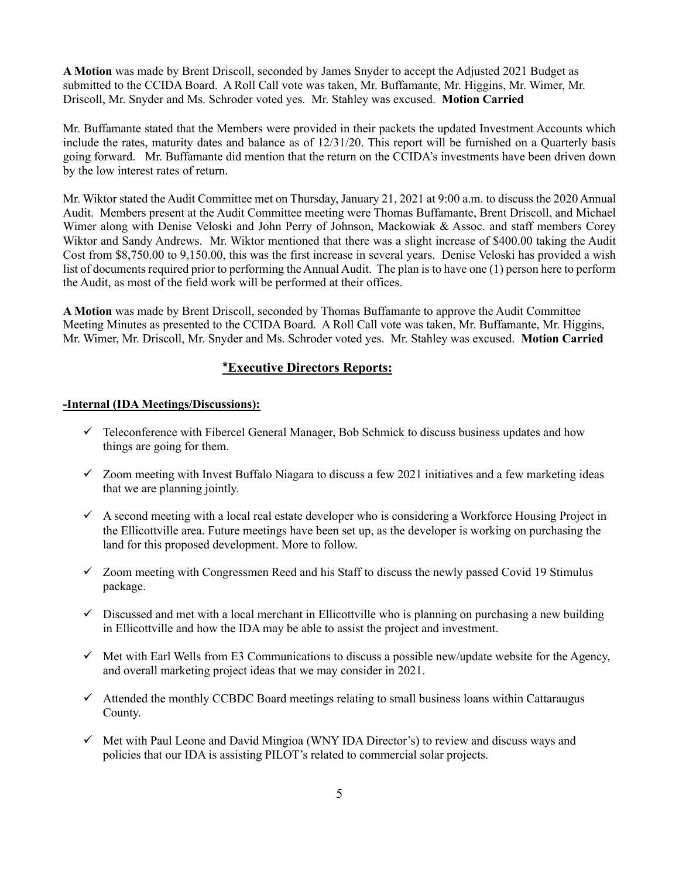**A Motion** was made by Brent Driscoll, seconded by James Snyder to accept the Adjusted 2021 Budget as submitted to the CCIDA Board. A Roll Call vote was taken, Mr. Buffamante, Mr. Higgins, Mr. Wimer, Mr. Driscoll, Mr. Snyder and Ms. Schroder voted yes. Mr. Stahley was excused. **Motion Carried**

Mr. Buffamante stated that the Members were provided in their packets the updated Investment Accounts which include the rates, maturity dates and balance as of 12/31/20. This report will be furnished on a Quarterly basis going forward. Mr. Buffamante did mention that the return on the CCIDA's investments have been driven down by the low interest rates of return.

Mr. Wiktor stated the Audit Committee met on Thursday, January 21, 2021 at 9:00 a.m. to discuss the 2020 Annual Audit. Members present at the Audit Committee meeting were Thomas Buffamante, Brent Driscoll, and Michael Wimer along with Denise Veloski and John Perry of Johnson, Mackowiak & Assoc. and staff members Corey Wiktor and Sandy Andrews. Mr. Wiktor mentioned that there was a slight increase of \$400.00 taking the Audit Cost from \$8,750.00 to 9,150.00, this was the first increase in several years. Denise Veloski has provided a wish list of documents required prior to performing the Annual Audit. The plan is to have one (1) person here to perform the Audit, as most of the field work will be performed at their offices.

**A Motion** was made by Brent Driscoll, seconded by Thomas Buffamante to approve the Audit Committee Meeting Minutes as presented to the CCIDA Board. A Roll Call vote was taken, Mr. Buffamante, Mr. Higgins, Mr. Wimer, Mr. Driscoll, Mr. Snyder and Ms. Schroder voted yes. Mr. Stahley was excused. **Motion Carried**

#### **\*Executive Directors Reports:**

#### **-Internal (IDA Meetings/Discussions):**

- $\checkmark$  Teleconference with Fibercel General Manager, Bob Schmick to discuss business updates and how things are going for them.
- $\checkmark$  Zoom meeting with Invest Buffalo Niagara to discuss a few 2021 initiatives and a few marketing ideas that we are planning jointly.
- $\checkmark$  A second meeting with a local real estate developer who is considering a Workforce Housing Project in the Ellicottville area. Future meetings have been set up, as the developer is working on purchasing the land for this proposed development. More to follow.
- $\checkmark$  Zoom meeting with Congressmen Reed and his Staff to discuss the newly passed Covid 19 Stimulus package.
- $\checkmark$  Discussed and met with a local merchant in Ellicottville who is planning on purchasing a new building in Ellicottville and how the IDA may be able to assist the project and investment.
- $\checkmark$  Met with Earl Wells from E3 Communications to discuss a possible new/update website for the Agency, and overall marketing project ideas that we may consider in 2021.
- $\checkmark$  Attended the monthly CCBDC Board meetings relating to small business loans within Cattaraugus County.
- $\checkmark$  Met with Paul Leone and David Mingioa (WNY IDA Director's) to review and discuss ways and policies that our IDA is assisting PILOT's related to commercial solar projects.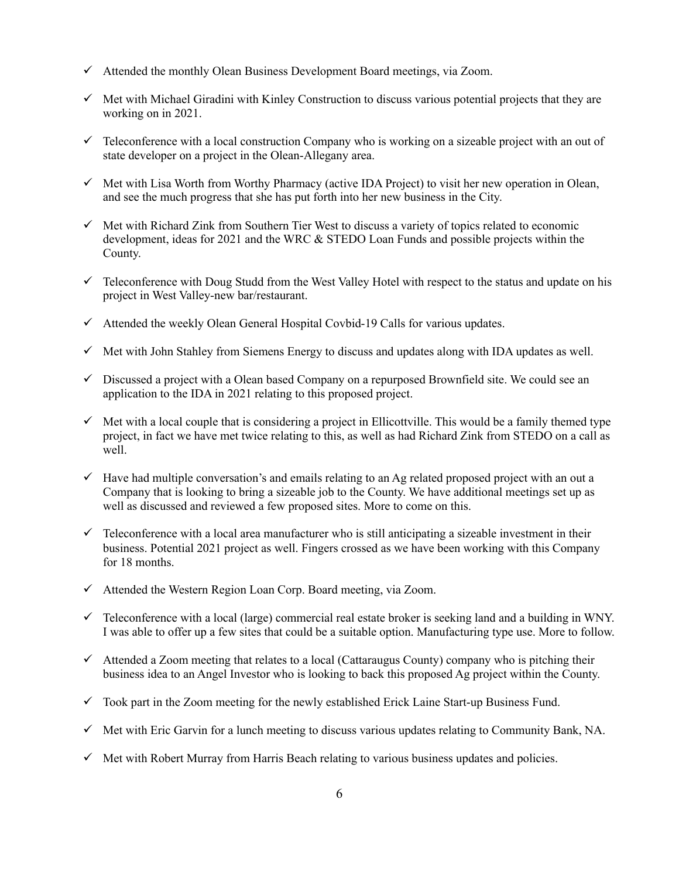- $\checkmark$  Attended the monthly Olean Business Development Board meetings, via Zoom.
- $\checkmark$  Met with Michael Giradini with Kinley Construction to discuss various potential projects that they are working on in 2021.
- $\checkmark$  Teleconference with a local construction Company who is working on a sizeable project with an out of state developer on a project in the Olean-Allegany area.
- $\checkmark$  Met with Lisa Worth from Worthy Pharmacy (active IDA Project) to visit her new operation in Olean, and see the much progress that she has put forth into her new business in the City.
- $\checkmark$  Met with Richard Zink from Southern Tier West to discuss a variety of topics related to economic development, ideas for 2021 and the WRC & STEDO Loan Funds and possible projects within the County.
- $\checkmark$  Teleconference with Doug Studd from the West Valley Hotel with respect to the status and update on his project in West Valley-new bar/restaurant.
- $\checkmark$  Attended the weekly Olean General Hospital Covbid-19 Calls for various updates.
- $\checkmark$  Met with John Stahley from Siemens Energy to discuss and updates along with IDA updates as well.
- $\checkmark$  Discussed a project with a Olean based Company on a repurposed Brownfield site. We could see an application to the IDA in 2021 relating to this proposed project.
- $\checkmark$  Met with a local couple that is considering a project in Ellicottville. This would be a family themed type project, in fact we have met twice relating to this, as well as had Richard Zink from STEDO on a call as well.
- $\checkmark$  Have had multiple conversation's and emails relating to an Ag related proposed project with an out a Company that is looking to bring a sizeable job to the County. We have additional meetings set up as well as discussed and reviewed a few proposed sites. More to come on this.
- $\checkmark$  Teleconference with a local area manufacturer who is still anticipating a sizeable investment in their business. Potential 2021 project as well. Fingers crossed as we have been working with this Company for 18 months.
- $\checkmark$  Attended the Western Region Loan Corp. Board meeting, via Zoom.
- $\checkmark$  Teleconference with a local (large) commercial real estate broker is seeking land and a building in WNY. I was able to offer up a few sites that could be a suitable option. Manufacturing type use. More to follow.
- $\checkmark$  Attended a Zoom meeting that relates to a local (Cattaraugus County) company who is pitching their business idea to an Angel Investor who is looking to back this proposed Ag project within the County.
- $\checkmark$  Took part in the Zoom meeting for the newly established Erick Laine Start-up Business Fund.
- $\checkmark$  Met with Eric Garvin for a lunch meeting to discuss various updates relating to Community Bank, NA.
- $\checkmark$  Met with Robert Murray from Harris Beach relating to various business updates and policies.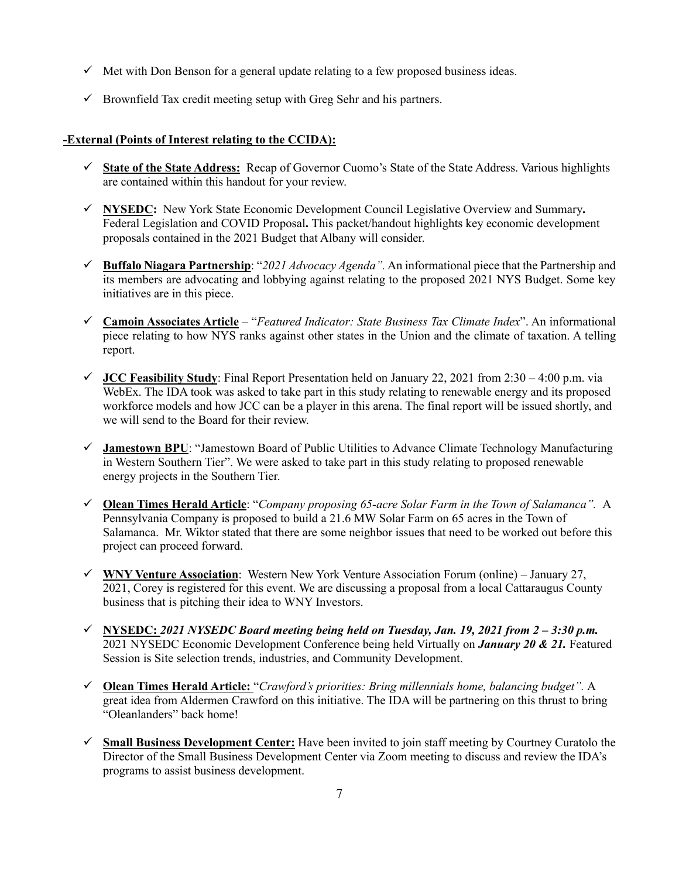- $\checkmark$  Met with Don Benson for a general update relating to a few proposed business ideas.
- $\checkmark$  Brownfield Tax credit meeting setup with Greg Sehr and his partners.

#### **-External (Points of Interest relating to the CCIDA):**

- ! **State of the State Address:** Recap of Governor Cuomo's State of the State Address. Various highlights are contained within this handout for your review.
- ! **NYSEDC:** New York State Economic Development Council Legislative Overview and Summary**.**  Federal Legislation and COVID Proposal**.** This packet/handout highlights key economic development proposals contained in the 2021 Budget that Albany will consider.
- ! **Buffalo Niagara Partnership**: "*2021 Advocacy Agenda".* An informational piece that the Partnership and its members are advocating and lobbying against relating to the proposed 2021 NYS Budget. Some key initiatives are in this piece.
- ! **Camoin Associates Article** "*Featured Indicator: State Business Tax Climate Index*". An informational piece relating to how NYS ranks against other states in the Union and the climate of taxation. A telling report.
- ! **JCC Feasibility Study**: Final Report Presentation held on January 22, 2021 from 2:30 4:00 p.m. via WebEx. The IDA took was asked to take part in this study relating to renewable energy and its proposed workforce models and how JCC can be a player in this arena. The final report will be issued shortly, and we will send to the Board for their review.
- ! **Jamestown BPU**: "Jamestown Board of Public Utilities to Advance Climate Technology Manufacturing in Western Southern Tier". We were asked to take part in this study relating to proposed renewable energy projects in the Southern Tier.
- ! **Olean Times Herald Article**: "*Company proposing 65-acre Solar Farm in the Town of Salamanca".* A Pennsylvania Company is proposed to build a 21.6 MW Solar Farm on 65 acres in the Town of Salamanca. Mr. Wiktor stated that there are some neighbor issues that need to be worked out before this project can proceed forward.
- ! **WNY Venture Association**: Western New York Venture Association Forum (online) January 27, 2021, Corey is registered for this event. We are discussing a proposal from a local Cattaraugus County business that is pitching their idea to WNY Investors.
- ! **NYSEDC:** *2021 NYSEDC Board meeting being held on Tuesday, Jan. 19, 2021 from 2 – 3:30 p.m.* 2021 NYSEDC Economic Development Conference being held Virtually on *January 20 & 21.* Featured Session is Site selection trends, industries, and Community Development.
- ! **Olean Times Herald Article:** "*Crawford's priorities: Bring millennials home, balancing budget".* A great idea from Aldermen Crawford on this initiative. The IDA will be partnering on this thrust to bring "Oleanlanders" back home!
- ! **Small Business Development Center:** Have been invited to join staff meeting by Courtney Curatolo the Director of the Small Business Development Center via Zoom meeting to discuss and review the IDA's programs to assist business development.